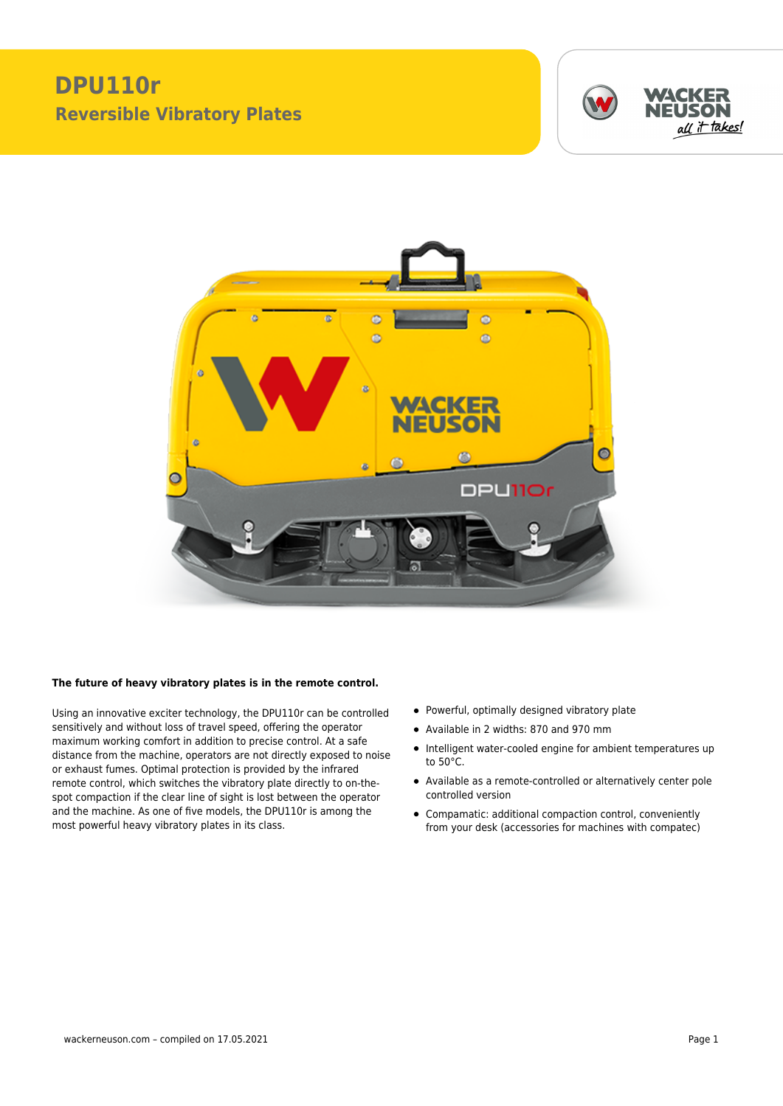## **DPU110r Reversible Vibratory Plates**





## **The future of heavy vibratory plates is in the remote control.**

Using an innovative exciter technology, the DPU110r can be controlled sensitively and without loss of travel speed, offering the operator maximum working comfort in addition to precise control. At a safe distance from the machine, operators are not directly exposed to noise or exhaust fumes. Optimal protection is provided by the infrared remote control, which switches the vibratory plate directly to on-thespot compaction if the clear line of sight is lost between the operator and the machine. As one of five models, the DPU110r is among the most powerful heavy vibratory plates in its class.

- Powerful, optimally designed vibratory plate
- Available in 2 widths: 870 and 970 mm
- Intelligent water-cooled engine for ambient temperatures up to 50°C.
- Available as a remote-controlled or alternatively center pole controlled version
- Compamatic: additional compaction control, conveniently from your desk (accessories for machines with compatec)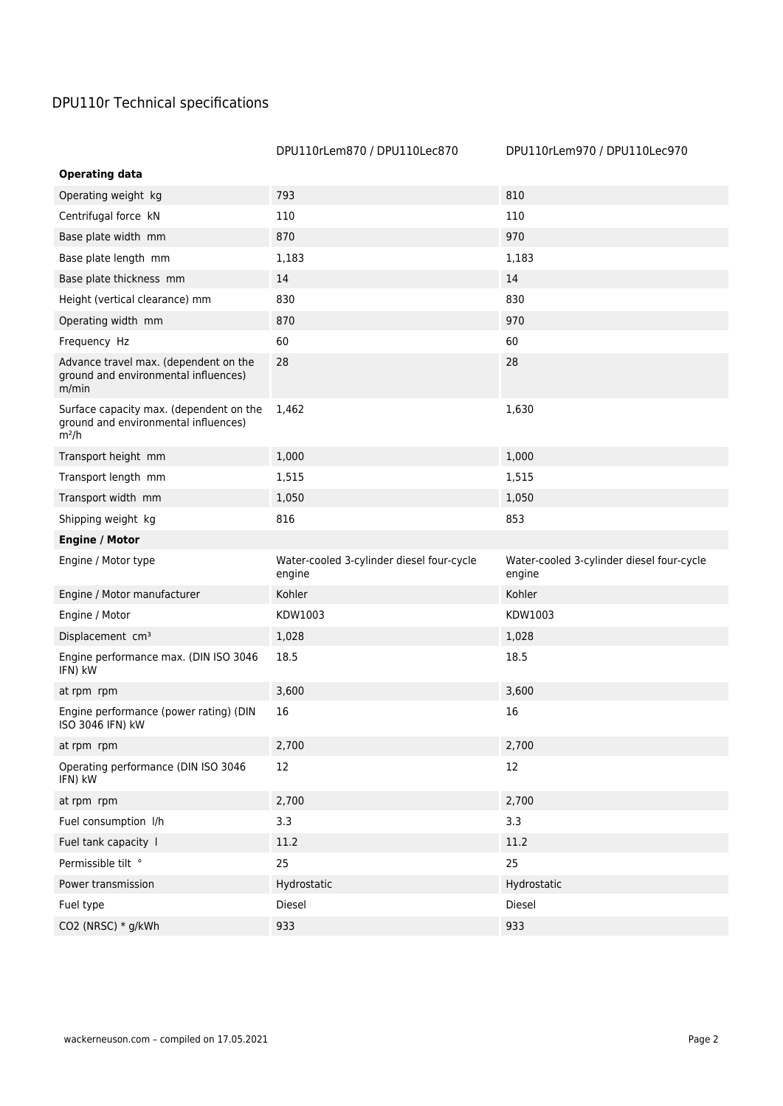## DPU110r Technical specifications

|                                                                                            | DPU110rLem870 / DPU110Lec870                        | DPU110rLem970 / DPU110Lec970                        |
|--------------------------------------------------------------------------------------------|-----------------------------------------------------|-----------------------------------------------------|
| <b>Operating data</b>                                                                      |                                                     |                                                     |
| Operating weight kg                                                                        | 793                                                 | 810                                                 |
| Centrifugal force kN                                                                       | 110                                                 | 110                                                 |
| Base plate width mm                                                                        | 870                                                 | 970                                                 |
| Base plate length mm                                                                       | 1,183                                               | 1,183                                               |
| Base plate thickness mm                                                                    | 14                                                  | 14                                                  |
| Height (vertical clearance) mm                                                             | 830                                                 | 830                                                 |
| Operating width mm                                                                         | 870                                                 | 970                                                 |
| Frequency Hz                                                                               | 60                                                  | 60                                                  |
| Advance travel max. (dependent on the<br>ground and environmental influences)<br>m/min     | 28                                                  | 28                                                  |
| Surface capacity max. (dependent on the<br>ground and environmental influences)<br>$m^2/h$ | 1,462                                               | 1,630                                               |
| Transport height mm                                                                        | 1,000                                               | 1,000                                               |
| Transport length mm                                                                        | 1,515                                               | 1,515                                               |
| Transport width mm                                                                         | 1,050                                               | 1,050                                               |
| Shipping weight kg                                                                         | 816                                                 | 853                                                 |
| <b>Engine / Motor</b>                                                                      |                                                     |                                                     |
| Engine / Motor type                                                                        | Water-cooled 3-cylinder diesel four-cycle<br>engine | Water-cooled 3-cylinder diesel four-cycle<br>engine |
| Engine / Motor manufacturer                                                                | Kohler                                              | Kohler                                              |
| Engine / Motor                                                                             | KDW1003                                             | KDW1003                                             |
| Displacement cm <sup>3</sup>                                                               | 1,028                                               | 1,028                                               |
| Engine performance max. (DIN ISO 3046<br>IFN) kW                                           | 18.5                                                | 18.5                                                |
| at rpm rpm                                                                                 | 3,600                                               | 3,600                                               |
| Engine performance (power rating) (DIN<br>ISO 3046 IFN) kW                                 | 16                                                  | 16                                                  |
| at rpm rpm                                                                                 | 2,700                                               | 2,700                                               |
| Operating performance (DIN ISO 3046<br>IFN) kW                                             | 12                                                  | 12                                                  |
| at rpm rpm                                                                                 | 2,700                                               | 2,700                                               |
| Fuel consumption I/h                                                                       | 3.3                                                 | 3.3                                                 |
| Fuel tank capacity I                                                                       | 11.2                                                | 11.2                                                |
| Permissible tilt °                                                                         | 25                                                  | 25                                                  |
| Power transmission                                                                         | Hydrostatic                                         | Hydrostatic                                         |
| Fuel type                                                                                  | Diesel                                              | Diesel                                              |
| CO2 (NRSC) * g/kWh                                                                         | 933                                                 | 933                                                 |